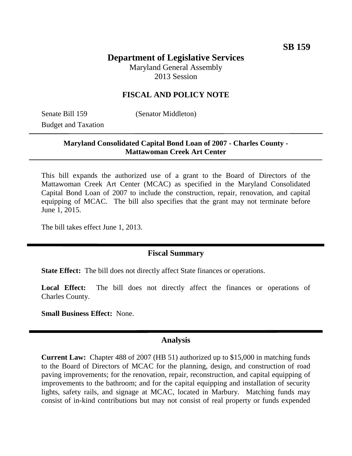# **Department of Legislative Services** Maryland General Assembly

2013 Session

# **FISCAL AND POLICY NOTE**

Senate Bill 159 (Senator Middleton) Budget and Taxation

# **Maryland Consolidated Capital Bond Loan of 2007 - Charles County - Mattawoman Creek Art Center**

This bill expands the authorized use of a grant to the Board of Directors of the Mattawoman Creek Art Center (MCAC) as specified in the Maryland Consolidated Capital Bond Loan of 2007 to include the construction, repair, renovation, and capital equipping of MCAC. The bill also specifies that the grant may not terminate before June 1, 2015.

The bill takes effect June 1, 2013.

### **Fiscal Summary**

**State Effect:** The bill does not directly affect State finances or operations.

Local Effect: The bill does not directly affect the finances or operations of Charles County.

**Small Business Effect:** None.

#### **Analysis**

**Current Law:** Chapter 488 of 2007 (HB 51) authorized up to \$15,000 in matching funds to the Board of Directors of MCAC for the planning, design, and construction of road paving improvements; for the renovation, repair, reconstruction, and capital equipping of improvements to the bathroom; and for the capital equipping and installation of security lights, safety rails, and signage at MCAC, located in Marbury. Matching funds may consist of in-kind contributions but may not consist of real property or funds expended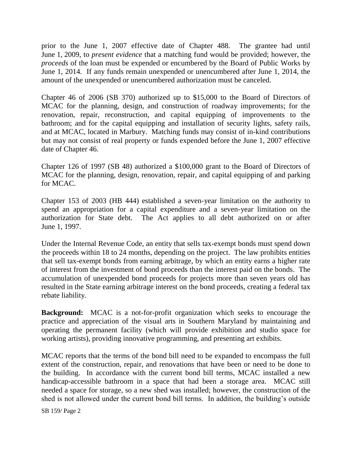prior to the June 1, 2007 effective date of Chapter 488. The grantee had until June 1, 2009, to *present evidence* that a matching fund would be provided; however, the *proceeds* of the loan must be expended or encumbered by the Board of Public Works by June 1, 2014. If any funds remain unexpended or unencumbered after June 1, 2014, the amount of the unexpended or unencumbered authorization must be canceled.

Chapter 46 of 2006 (SB 370) authorized up to \$15,000 to the Board of Directors of MCAC for the planning, design, and construction of roadway improvements; for the renovation, repair, reconstruction, and capital equipping of improvements to the bathroom; and for the capital equipping and installation of security lights, safety rails, and at MCAC, located in Marbury. Matching funds may consist of in-kind contributions but may not consist of real property or funds expended before the June 1, 2007 effective date of Chapter 46.

Chapter 126 of 1997 (SB 48) authorized a \$100,000 grant to the Board of Directors of MCAC for the planning, design, renovation, repair, and capital equipping of and parking for MCAC.

Chapter 153 of 2003 (HB 444) established a seven-year limitation on the authority to spend an appropriation for a capital expenditure and a seven-year limitation on the authorization for State debt. The Act applies to all debt authorized on or after June 1, 1997.

Under the Internal Revenue Code, an entity that sells tax-exempt bonds must spend down the proceeds within 18 to 24 months, depending on the project. The law prohibits entities that sell tax-exempt bonds from earning arbitrage, by which an entity earns a higher rate of interest from the investment of bond proceeds than the interest paid on the bonds. The accumulation of unexpended bond proceeds for projects more than seven years old has resulted in the State earning arbitrage interest on the bond proceeds, creating a federal tax rebate liability.

**Background:** MCAC is a not-for-profit organization which seeks to encourage the practice and appreciation of the visual arts in Southern Maryland by maintaining and operating the permanent facility (which will provide exhibition and studio space for working artists), providing innovative programming, and presenting art exhibits.

MCAC reports that the terms of the bond bill need to be expanded to encompass the full extent of the construction, repair, and renovations that have been or need to be done to the building. In accordance with the current bond bill terms, MCAC installed a new handicap-accessible bathroom in a space that had been a storage area. MCAC still needed a space for storage, so a new shed was installed; however, the construction of the shed is not allowed under the current bond bill terms. In addition, the building's outside

SB 159/ Page 2